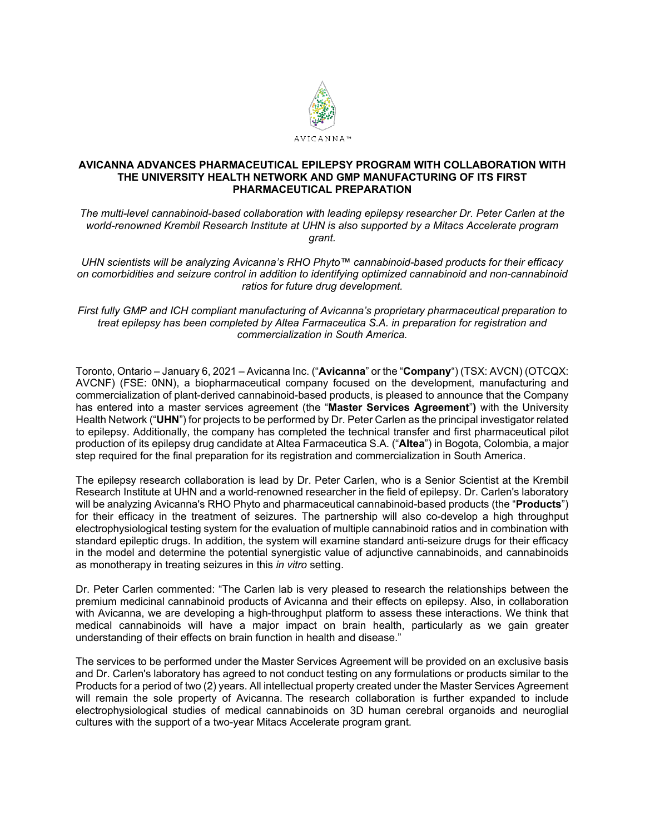

## **AVICANNA ADVANCES PHARMACEUTICAL EPILEPSY PROGRAM WITH COLLABORATION WITH THE UNIVERSITY HEALTH NETWORK AND GMP MANUFACTURING OF ITS FIRST PHARMACEUTICAL PREPARATION**

*The multi-level cannabinoid-based collaboration with leading epilepsy researcher Dr. Peter Carlen at the world-renowned Krembil Research Institute at UHN is also supported by a Mitacs Accelerate program grant.*

*UHN scientists will be analyzing Avicanna's RHO Phyto™ cannabinoid-based products for their efficacy on comorbidities and seizure control in addition to identifying optimized cannabinoid and non-cannabinoid ratios for future drug development.*

*First fully GMP and ICH compliant manufacturing of Avicanna's proprietary pharmaceutical preparation to treat epilepsy has been completed by Altea Farmaceutica S.A. in preparation for registration and commercialization in South America.*

Toronto, Ontario – January 6, 2021 – Avicanna Inc. ("**Avicanna**" or the "**Company**") (TSX: AVCN) (OTCQX: AVCNF) (FSE: 0NN), a biopharmaceutical company focused on the development, manufacturing and commercialization of plant-derived cannabinoid-based products, is pleased to announce that the Company has entered into a master services agreement (the "**Master Services Agreement**"**)** with the University Health Network ("**UHN**") for projects to be performed by Dr. Peter Carlen as the principal investigator related to epilepsy. Additionally, the company has completed the technical transfer and first pharmaceutical pilot production of its epilepsy drug candidate at Altea Farmaceutica S.A. ("**Altea**") in Bogota, Colombia, a major step required for the final preparation for its registration and commercialization in South America.

The epilepsy research collaboration is lead by Dr. Peter Carlen, who is a Senior Scientist at the Krembil Research Institute at UHN and a world-renowned researcher in the field of epilepsy. Dr. Carlen's laboratory will be analyzing Avicanna's RHO Phyto and pharmaceutical cannabinoid-based products (the "**Products**") for their efficacy in the treatment of seizures. The partnership will also co-develop a high throughput electrophysiological testing system for the evaluation of multiple cannabinoid ratios and in combination with standard epileptic drugs. In addition, the system will examine standard anti-seizure drugs for their efficacy in the model and determine the potential synergistic value of adjunctive cannabinoids, and cannabinoids as monotherapy in treating seizures in this *in vitro* setting.

Dr. Peter Carlen commented: "The Carlen lab is very pleased to research the relationships between the premium medicinal cannabinoid products of Avicanna and their effects on epilepsy. Also, in collaboration with Avicanna, we are developing a high-throughput platform to assess these interactions. We think that medical cannabinoids will have a major impact on brain health, particularly as we gain greater understanding of their effects on brain function in health and disease."

The services to be performed under the Master Services Agreement will be provided on an exclusive basis and Dr. Carlen's laboratory has agreed to not conduct testing on any formulations or products similar to the Products for a period of two (2) years. All intellectual property created under the Master Services Agreement will remain the sole property of Avicanna. The research collaboration is further expanded to include electrophysiological studies of medical cannabinoids on 3D human cerebral organoids and neuroglial cultures with the support of a two-year Mitacs Accelerate program grant.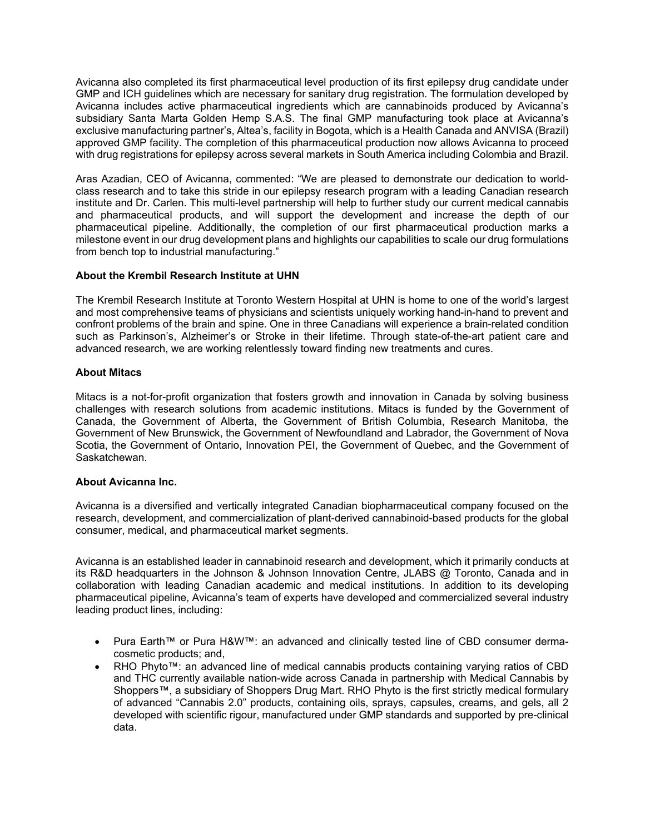Avicanna also completed its first pharmaceutical level production of its first epilepsy drug candidate under GMP and ICH guidelines which are necessary for sanitary drug registration. The formulation developed by Avicanna includes active pharmaceutical ingredients which are cannabinoids produced by Avicanna's subsidiary Santa Marta Golden Hemp S.A.S. The final GMP manufacturing took place at Avicanna's exclusive manufacturing partner's, Altea's, facility in Bogota, which is a Health Canada and ANVISA (Brazil) approved GMP facility. The completion of this pharmaceutical production now allows Avicanna to proceed with drug registrations for epilepsy across several markets in South America including Colombia and Brazil.

Aras Azadian, CEO of Avicanna, commented: "We are pleased to demonstrate our dedication to worldclass research and to take this stride in our epilepsy research program with a leading Canadian research institute and Dr. Carlen. This multi-level partnership will help to further study our current medical cannabis and pharmaceutical products, and will support the development and increase the depth of our pharmaceutical pipeline. Additionally, the completion of our first pharmaceutical production marks a milestone event in our drug development plans and highlights our capabilities to scale our drug formulations from bench top to industrial manufacturing."

# **About the Krembil Research Institute at UHN**

The Krembil Research Institute at Toronto Western Hospital at UHN is home to one of the world's largest and most comprehensive teams of physicians and scientists uniquely working hand-in-hand to prevent and confront problems of the brain and spine. One in three Canadians will experience a brain-related condition such as Parkinson's, Alzheimer's or Stroke in their lifetime. Through state-of-the-art patient care and advanced research, we are working relentlessly toward finding new treatments and cures.

# **About Mitacs**

Mitacs is a not-for-profit organization that fosters growth and innovation in Canada by solving business challenges with research solutions from academic institutions. Mitacs is funded by the Government of Canada, the Government of Alberta, the Government of British Columbia, Research Manitoba, the Government of New Brunswick, the Government of Newfoundland and Labrador, the Government of Nova Scotia, the Government of Ontario, Innovation PEI, the Government of Quebec, and the Government of Saskatchewan.

## **About Avicanna Inc.**

Avicanna is a diversified and vertically integrated Canadian biopharmaceutical company focused on the research, development, and commercialization of plant-derived cannabinoid-based products for the global consumer, medical, and pharmaceutical market segments.

Avicanna is an established leader in cannabinoid research and development, which it primarily conducts at its R&D headquarters in the Johnson & Johnson Innovation Centre, JLABS @ Toronto, Canada and in collaboration with leading Canadian academic and medical institutions. In addition to its developing pharmaceutical pipeline, Avicanna's team of experts have developed and commercialized several industry leading product lines, including:

- Pura Earth™ or Pura H&W™: an advanced and clinically tested line of CBD consumer dermacosmetic products; and,
- RHO Phyto™: an advanced line of medical cannabis products containing varying ratios of CBD and THC currently available nation-wide across Canada in partnership with Medical Cannabis by Shoppers™, a subsidiary of Shoppers Drug Mart. RHO Phyto is the first strictly medical formulary of advanced "Cannabis 2.0" products, containing oils, sprays, capsules, creams, and gels, all 2 developed with scientific rigour, manufactured under GMP standards and supported by pre-clinical data.